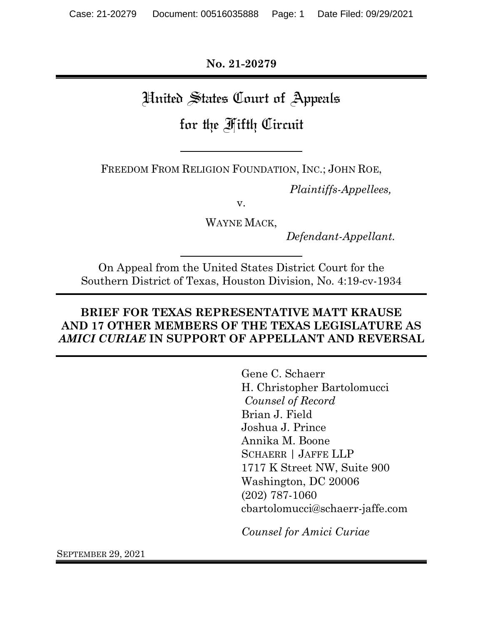**No. 21-20279**

# United States Court of Appeals

## for the Fifth Circuit

FREEDOM FROM RELIGION FOUNDATION, INC.; JOHN ROE,

*Plaintiffs-Appellees,*

v.

WAYNE MACK,

*Defendant-Appellant.*

On Appeal from the United States District Court for the Southern District of Texas, Houston Division, No. 4:19-cv-1934

## **BRIEF FOR TEXAS REPRESENTATIVE MATT KRAUSE AND 17 OTHER MEMBERS OF THE TEXAS LEGISLATURE AS**  *AMICI CURIAE* **IN SUPPORT OF APPELLANT AND REVERSAL**

Gene C. Schaerr H. Christopher Bartolomucci *Counsel of Record* Brian J. Field Joshua J. Prince Annika M. Boone SCHAERR | JAFFE LLP 1717 K Street NW, Suite 900 Washington, DC 20006 (202) 787-1060 cbartolomucci@schaerr-jaffe.com

*Counsel for Amici Curiae*

SEPTEMBER 29, 2021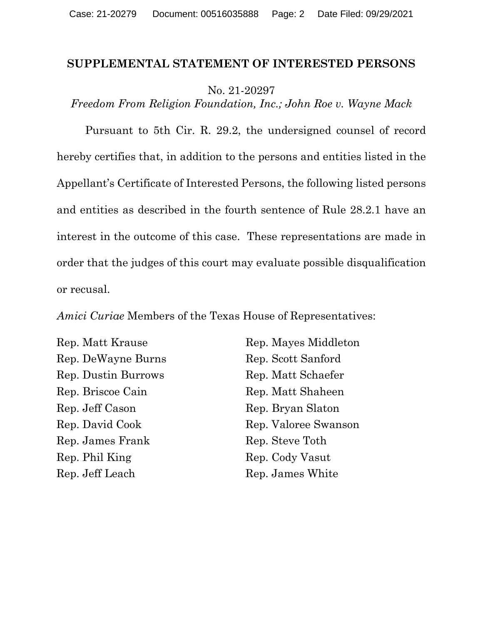#### **SUPPLEMENTAL STATEMENT OF INTERESTED PERSONS**

No. 21-20297

*Freedom From Religion Foundation, Inc.; John Roe v. Wayne Mack*

Pursuant to 5th Cir. R. 29.2, the undersigned counsel of record hereby certifies that, in addition to the persons and entities listed in the Appellant's Certificate of Interested Persons, the following listed persons and entities as described in the fourth sentence of Rule 28.2.1 have an interest in the outcome of this case. These representations are made in order that the judges of this court may evaluate possible disqualification or recusal.

*Amici Curiae* Members of the Texas House of Representatives:

Rep. Matt Krause Rep. DeWayne Burns Rep. Dustin Burrows Rep. Briscoe Cain Rep. Jeff Cason Rep. David Cook Rep. James Frank Rep. Phil King Rep. Jeff Leach

Rep. Mayes Middleton Rep. Scott Sanford Rep. Matt Schaefer Rep. Matt Shaheen Rep. Bryan Slaton Rep. Valoree Swanson Rep. Steve Toth Rep. Cody Vasut Rep. James White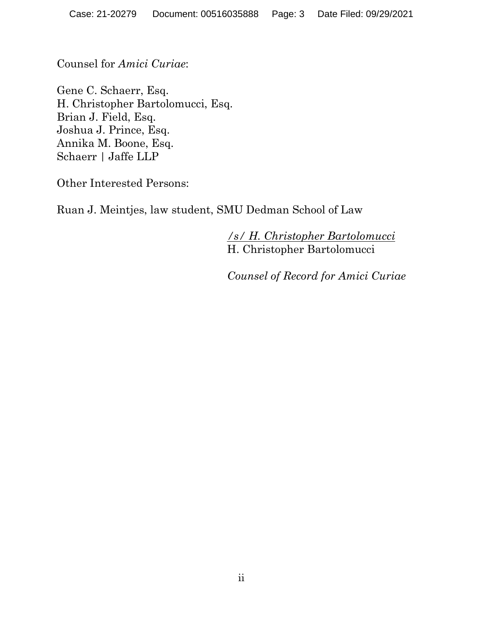Counsel for *Amici Curiae*:

Gene C. Schaerr, Esq. H. Christopher Bartolomucci, Esq. Brian J. Field, Esq. Joshua J. Prince, Esq. Annika M. Boone, Esq. Schaerr | Jaffe LLP

Other Interested Persons:

Ruan J. Meintjes, law student, SMU Dedman School of Law

*/s/ H. Christopher Bartolomucci* H. Christopher Bartolomucci

*Counsel of Record for Amici Curiae*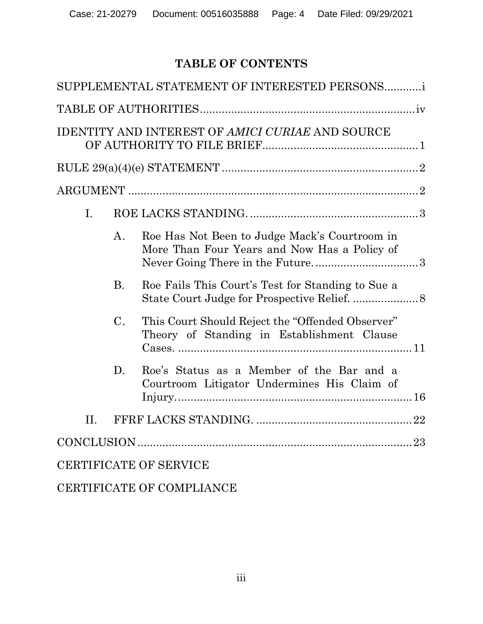## **TABLE OF CONTENTS**

|                               |                | SUPPLEMENTAL STATEMENT OF INTERESTED PERSONS                                                   |  |  |
|-------------------------------|----------------|------------------------------------------------------------------------------------------------|--|--|
|                               |                |                                                                                                |  |  |
|                               |                | <b>IDENTITY AND INTEREST OF AMICI CURIAE AND SOURCE</b>                                        |  |  |
|                               |                |                                                                                                |  |  |
|                               |                |                                                                                                |  |  |
| I.                            |                |                                                                                                |  |  |
|                               | A <sub>1</sub> | Roe Has Not Been to Judge Mack's Courtroom in<br>More Than Four Years and Now Has a Policy of  |  |  |
|                               | <b>B.</b>      | Roe Fails This Court's Test for Standing to Sue a                                              |  |  |
|                               | $\mathcal{C}.$ | This Court Should Reject the "Offended Observer"<br>Theory of Standing in Establishment Clause |  |  |
|                               | D.             | Roe's Status as a Member of the Bar and a<br>Courtroom Litigator Undermines His Claim of       |  |  |
| $\Pi$ .                       |                |                                                                                                |  |  |
|                               |                |                                                                                                |  |  |
| <b>CERTIFICATE OF SERVICE</b> |                |                                                                                                |  |  |
|                               |                |                                                                                                |  |  |

CERTIFICATE OF COMPLIANCE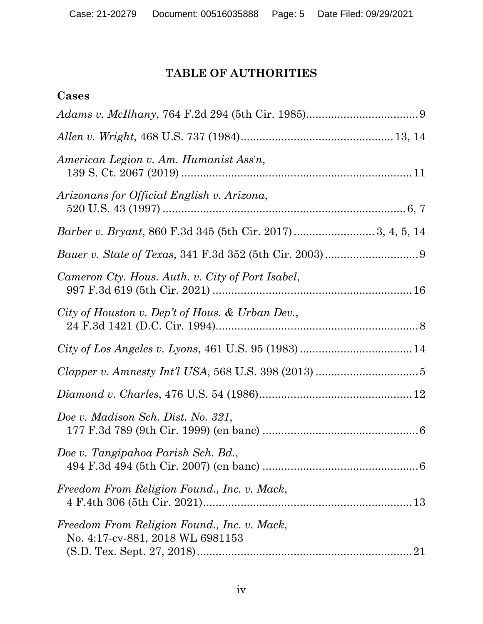## **TABLE OF AUTHORITIES**

| Cases                                                                                 |
|---------------------------------------------------------------------------------------|
|                                                                                       |
|                                                                                       |
| American Legion v. Am. Humanist Ass'n,                                                |
| Arizonans for Official English v. Arizona,                                            |
|                                                                                       |
|                                                                                       |
| Cameron Cty. Hous. Auth. v. City of Port Isabel,                                      |
| City of Houston v. Dep't of Hous. & Urban Dev.,                                       |
|                                                                                       |
|                                                                                       |
|                                                                                       |
| Doe v. Madison Sch. Dist. No. 321,                                                    |
| Doe v. Tangipahoa Parish Sch. Bd.,                                                    |
| Freedom From Religion Found., Inc. v. Mack,                                           |
| Freedom From Religion Found., Inc. v. Mack,<br>No. 4:17-cv-881, 2018 WL 6981153<br>21 |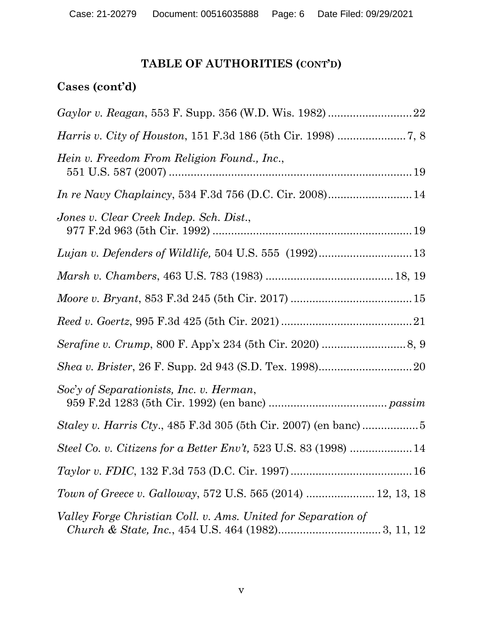## **TABLE OF AUTHORITIES (CONT'D)**

## **Cases (cont'd)**

| Hein v. Freedom From Religion Found., Inc.,                   |
|---------------------------------------------------------------|
| In re Navy Chaplaincy, 534 F.3d 756 (D.C. Cir. 2008) 14       |
| Jones v. Clear Creek Indep. Sch. Dist.,                       |
|                                                               |
|                                                               |
|                                                               |
|                                                               |
|                                                               |
|                                                               |
| Soc'y of Separationists, Inc. v. Herman,                      |
|                                                               |
|                                                               |
|                                                               |
| Town of Greece v. Galloway, 572 U.S. 565 (2014)  12, 13, 18   |
| Valley Forge Christian Coll. v. Ams. United for Separation of |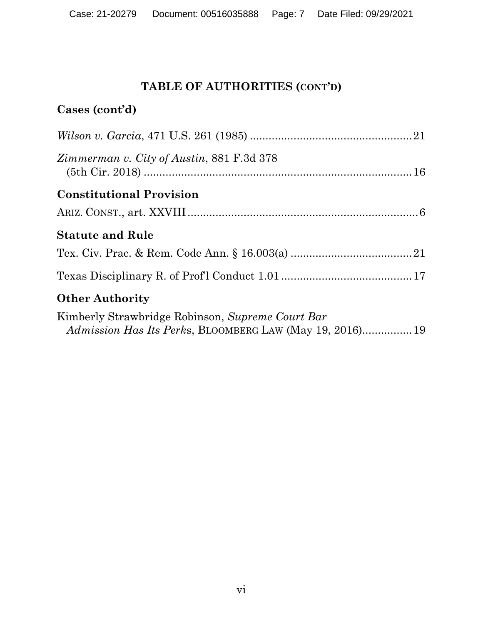## **TABLE OF AUTHORITIES (CONT'D)**

## **Cases (cont'd)**

| <i>Zimmerman v. City of Austin, 881 F.3d 378</i> |
|--------------------------------------------------|
| <b>Constitutional Provision</b>                  |
|                                                  |
| <b>Statute and Rule</b>                          |
|                                                  |
|                                                  |
| <b>Other Authority</b>                           |
| Kimberly Strawbridge Robinson, Supreme Court Bar |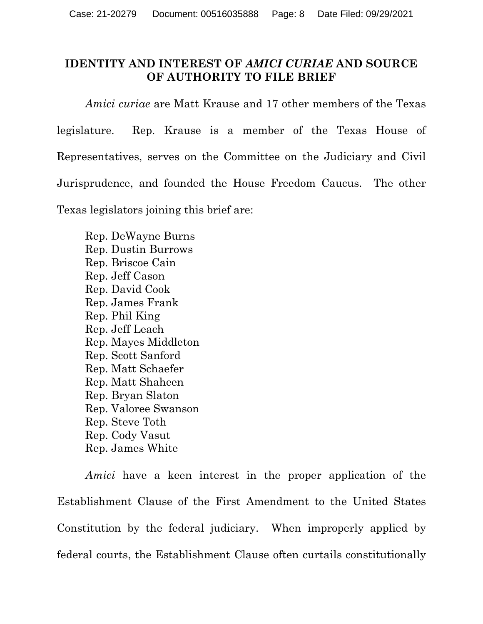## **IDENTITY AND INTEREST OF** *AMICI CURIAE* **AND SOURCE OF AUTHORITY TO FILE BRIEF**

*Amici curiae* are Matt Krause and 17 other members of the Texas legislature. Rep. Krause is a member of the Texas House of Representatives, serves on the Committee on the Judiciary and Civil Jurisprudence, and founded the House Freedom Caucus. The other Texas legislators joining this brief are:

Rep. DeWayne Burns Rep. Dustin Burrows Rep. Briscoe Cain Rep. Jeff Cason Rep. David Cook Rep. James Frank Rep. Phil King Rep. Jeff Leach Rep. Mayes Middleton Rep. Scott Sanford Rep. Matt Schaefer Rep. Matt Shaheen Rep. Bryan Slaton Rep. Valoree Swanson Rep. Steve Toth Rep. Cody Vasut Rep. James White

*Amici* have a keen interest in the proper application of the Establishment Clause of the First Amendment to the United States Constitution by the federal judiciary. When improperly applied by federal courts, the Establishment Clause often curtails constitutionally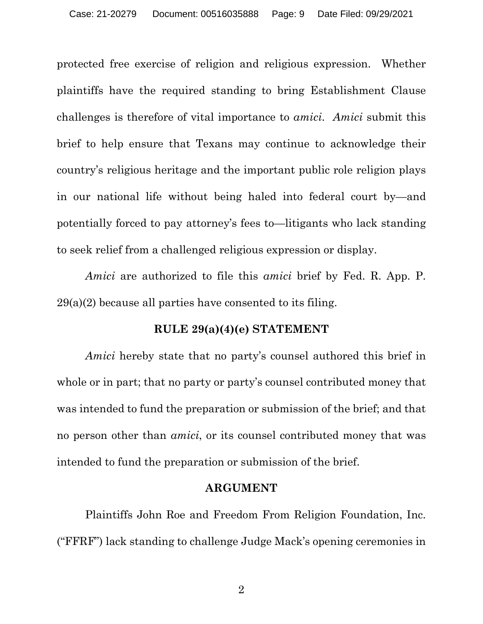protected free exercise of religion and religious expression. Whether plaintiffs have the required standing to bring Establishment Clause challenges is therefore of vital importance to *amici*. *Amici* submit this brief to help ensure that Texans may continue to acknowledge their country's religious heritage and the important public role religion plays in our national life without being haled into federal court by—and potentially forced to pay attorney's fees to—litigants who lack standing to seek relief from a challenged religious expression or display.

*Amici* are authorized to file this *amici* brief by Fed. R. App. P. 29(a)(2) because all parties have consented to its filing.

#### **RULE 29(a)(4)(e) STATEMENT**

*Amici* hereby state that no party's counsel authored this brief in whole or in part; that no party or party's counsel contributed money that was intended to fund the preparation or submission of the brief; and that no person other than *amici*, or its counsel contributed money that was intended to fund the preparation or submission of the brief.

#### **ARGUMENT**

Plaintiffs John Roe and Freedom From Religion Foundation, Inc. ("FFRF") lack standing to challenge Judge Mack's opening ceremonies in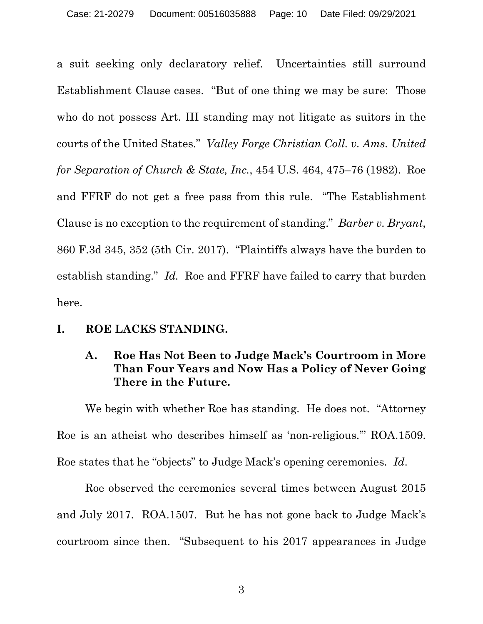a suit seeking only declaratory relief. Uncertainties still surround Establishment Clause cases. "But of one thing we may be sure: Those who do not possess Art. III standing may not litigate as suitors in the courts of the United States." *Valley Forge Christian Coll. v. Ams. United for Separation of Church & State, Inc.*, 454 U.S. 464, 475–76 (1982). Roe and FFRF do not get a free pass from this rule. "The Establishment Clause is no exception to the requirement of standing." *Barber v. Bryant*, 860 F.3d 345, 352 (5th Cir. 2017). "Plaintiffs always have the burden to establish standing." *Id.* Roe and FFRF have failed to carry that burden here.

### **I. ROE LACKS STANDING.**

### **A. Roe Has Not Been to Judge Mack's Courtroom in More Than Four Years and Now Has a Policy of Never Going There in the Future.**

We begin with whether Roe has standing. He does not. "Attorney Roe is an atheist who describes himself as 'non-religious.'" ROA.1509. Roe states that he "objects" to Judge Mack's opening ceremonies. *Id*.

Roe observed the ceremonies several times between August 2015 and July 2017. ROA.1507. But he has not gone back to Judge Mack's courtroom since then. "Subsequent to his 2017 appearances in Judge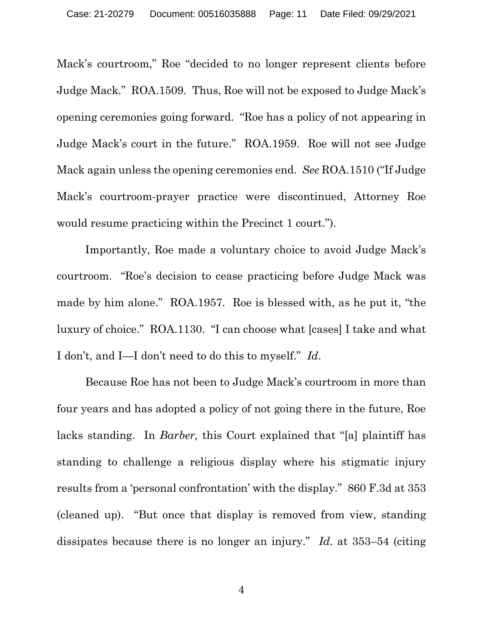Mack's courtroom," Roe "decided to no longer represent clients before Judge Mack." ROA.1509. Thus, Roe will not be exposed to Judge Mack's opening ceremonies going forward. "Roe has a policy of not appearing in Judge Mack's court in the future." ROA.1959. Roe will not see Judge Mack again unless the opening ceremonies end. *See* ROA.1510 ("If Judge Mack's courtroom-prayer practice were discontinued, Attorney Roe would resume practicing within the Precinct 1 court.").

Importantly, Roe made a voluntary choice to avoid Judge Mack's courtroom. "Roe's decision to cease practicing before Judge Mack was made by him alone." ROA.1957. Roe is blessed with, as he put it, "the luxury of choice." ROA.1130. "I can choose what [cases] I take and what I don't, and I—I don't need to do this to myself." *Id*.

Because Roe has not been to Judge Mack's courtroom in more than four years and has adopted a policy of not going there in the future, Roe lacks standing. In *Barber,* this Court explained that "[a] plaintiff has standing to challenge a religious display where his stigmatic injury results from a 'personal confrontation' with the display." 860 F.3d at 353 (cleaned up). "But once that display is removed from view, standing dissipates because there is no longer an injury." *Id*. at 353–54 (citing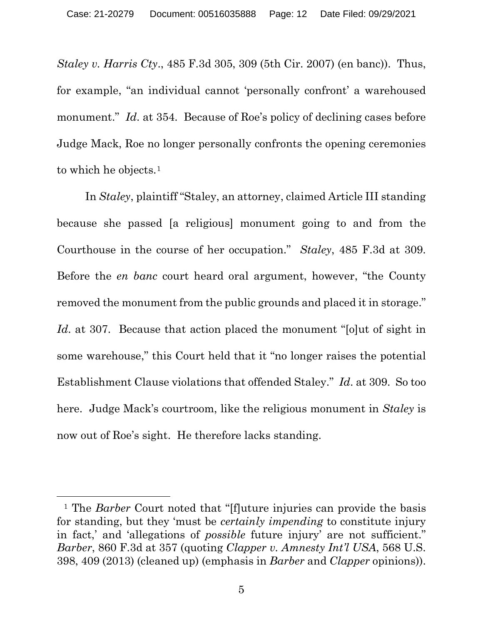*Staley v. Harris Cty*., 485 F.3d 305, 309 (5th Cir. 2007) (en banc)). Thus, for example, "an individual cannot 'personally confront' a warehoused monument." *Id.* at 354. Because of Roe's policy of declining cases before Judge Mack, Roe no longer personally confronts the opening ceremonies to which he objects.<sup>[1](#page-11-0)</sup>

In *Staley*, plaintiff "Staley, an attorney, claimed Article III standing because she passed [a religious] monument going to and from the Courthouse in the course of her occupation." *Staley*, 485 F.3d at 309. Before the *en banc* court heard oral argument, however, "the County removed the monument from the public grounds and placed it in storage." *Id.* at 307. Because that action placed the monument "solut of sight in some warehouse," this Court held that it "no longer raises the potential Establishment Clause violations that offended Staley." *Id*. at 309. So too here. Judge Mack's courtroom, like the religious monument in *Staley* is now out of Roe's sight. He therefore lacks standing.

<span id="page-11-0"></span><sup>&</sup>lt;sup>1</sup> The *Barber* Court noted that "[f]uture injuries can provide the basis for standing, but they 'must be *certainly impending* to constitute injury in fact,' and 'allegations of *possible* future injury' are not sufficient." *Barber*, 860 F.3d at 357 (quoting *Clapper v. Amnesty Int'l USA*, 568 U.S. 398, 409 (2013) (cleaned up) (emphasis in *Barber* and *Clapper* opinions)).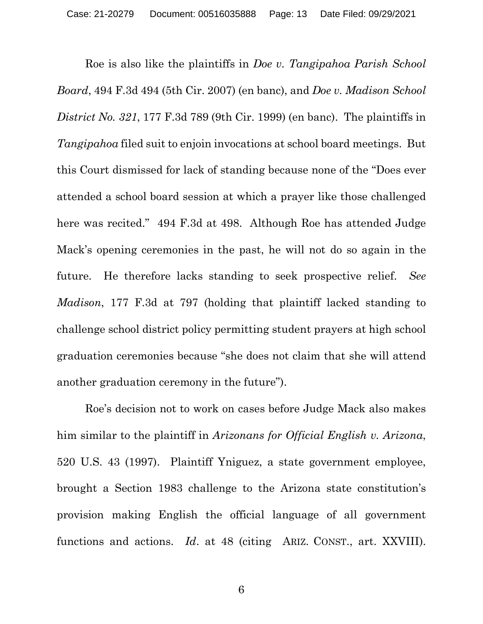Roe is also like the plaintiffs in *Doe v. Tangipahoa Parish School Board*, 494 F.3d 494 (5th Cir. 2007) (en banc), and *Doe v. Madison School District No. 321*, 177 F.3d 789 (9th Cir. 1999) (en banc). The plaintiffs in *Tangipahoa* filed suit to enjoin invocations at school board meetings. But this Court dismissed for lack of standing because none of the "Does ever attended a school board session at which a prayer like those challenged here was recited." 494 F.3d at 498. Although Roe has attended Judge Mack's opening ceremonies in the past, he will not do so again in the future. He therefore lacks standing to seek prospective relief. *See Madison*, 177 F.3d at 797 (holding that plaintiff lacked standing to challenge school district policy permitting student prayers at high school graduation ceremonies because "she does not claim that she will attend another graduation ceremony in the future").

Roe's decision not to work on cases before Judge Mack also makes him similar to the plaintiff in *Arizonans for Official English v. Arizona*, 520 U.S. 43 (1997). Plaintiff Yniguez, a state government employee, brought a Section 1983 challenge to the Arizona state constitution's provision making English the official language of all government functions and actions. *Id*. at 48 (citing ARIZ. CONST., art. XXVIII).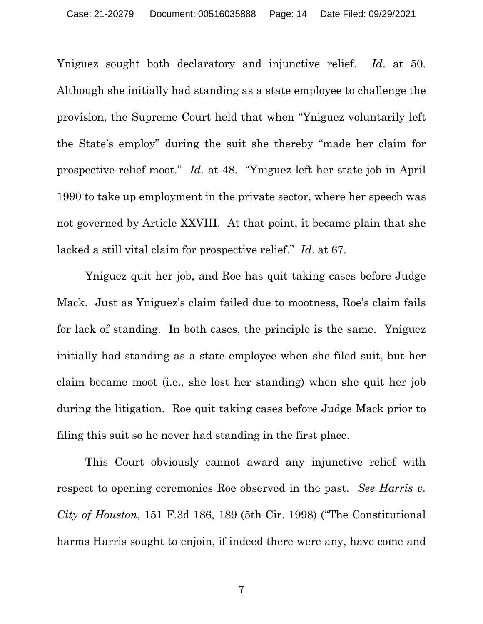Yniguez sought both declaratory and injunctive relief. *Id*. at 50. Although she initially had standing as a state employee to challenge the provision, the Supreme Court held that when "Yniguez voluntarily left the State's employ" during the suit she thereby "made her claim for prospective relief moot." *Id*. at 48. "Yniguez left her state job in April 1990 to take up employment in the private sector, where her speech was not governed by Article XXVIII. At that point, it became plain that she lacked a still vital claim for prospective relief." *Id*. at 67.

Yniguez quit her job, and Roe has quit taking cases before Judge Mack. Just as Yniguez's claim failed due to mootness, Roe's claim fails for lack of standing. In both cases, the principle is the same. Yniguez initially had standing as a state employee when she filed suit, but her claim became moot (i.e., she lost her standing) when she quit her job during the litigation. Roe quit taking cases before Judge Mack prior to filing this suit so he never had standing in the first place.

This Court obviously cannot award any injunctive relief with respect to opening ceremonies Roe observed in the past. *See Harris v. City of Houston*, 151 F.3d 186, 189 (5th Cir. 1998) ("The Constitutional harms Harris sought to enjoin, if indeed there were any, have come and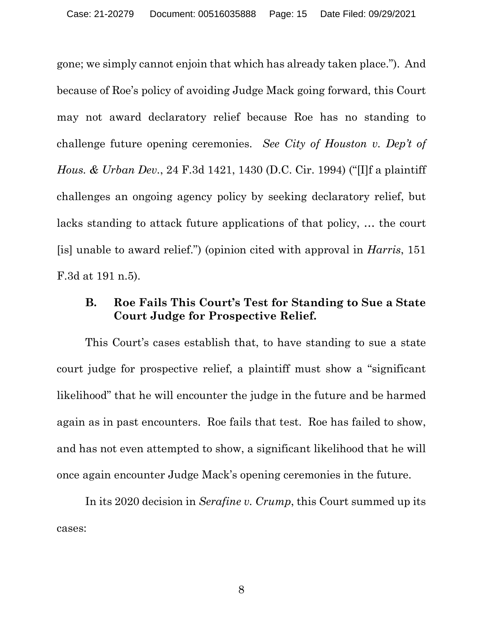gone; we simply cannot enjoin that which has already taken place."). And because of Roe's policy of avoiding Judge Mack going forward, this Court may not award declaratory relief because Roe has no standing to challenge future opening ceremonies. *See City of Houston v. Dep't of Hous. & Urban Dev.*, 24 F.3d 1421, 1430 (D.C. Cir. 1994) ("[I]f a plaintiff challenges an ongoing agency policy by seeking declaratory relief, but lacks standing to attack future applications of that policy, … the court [is] unable to award relief.") (opinion cited with approval in *Harris*, 151 F.3d at 191 n.5).

## **B. Roe Fails This Court's Test for Standing to Sue a State Court Judge for Prospective Relief.**

This Court's cases establish that, to have standing to sue a state court judge for prospective relief, a plaintiff must show a "significant likelihood" that he will encounter the judge in the future and be harmed again as in past encounters. Roe fails that test. Roe has failed to show, and has not even attempted to show, a significant likelihood that he will once again encounter Judge Mack's opening ceremonies in the future.

In its 2020 decision in *Serafine v. Crump*, this Court summed up its cases: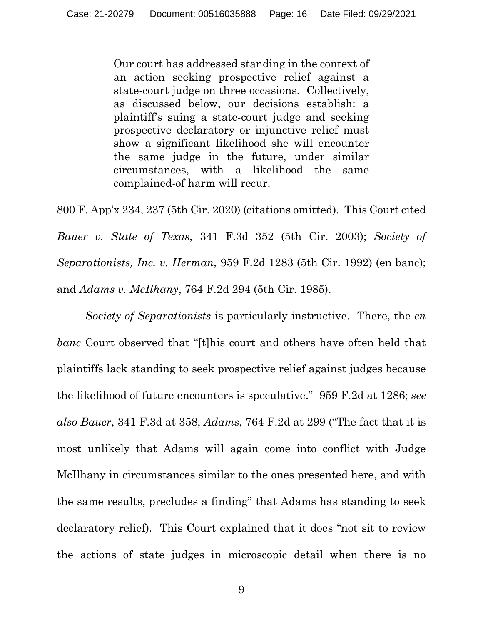Our court has addressed standing in the context of an action seeking prospective relief against a state-court judge on three occasions. Collectively, as discussed below, our decisions establish: a plaintiff's suing a state-court judge and seeking prospective declaratory or injunctive relief must show a significant likelihood she will encounter the same judge in the future, under similar circumstances, with a likelihood the same complained-of harm will recur.

800 F. App'x 234, 237 (5th Cir. 2020) (citations omitted). This Court cited *Bauer v. State of Texas*, 341 F.3d 352 (5th Cir. 2003); *Society of Separationists, Inc. v. Herman*, 959 F.2d 1283 (5th Cir. 1992) (en banc); and *Adams v. McIlhany*, 764 F.2d 294 (5th Cir. 1985).

*Society of Separationists* is particularly instructive. There, the *en banc* Court observed that "[t]his court and others have often held that plaintiffs lack standing to seek prospective relief against judges because the likelihood of future encounters is speculative." 959 F.2d at 1286; *see also Bauer*, 341 F.3d at 358; *Adams*, 764 F.2d at 299 ("The fact that it is most unlikely that Adams will again come into conflict with Judge McIlhany in circumstances similar to the ones presented here, and with the same results, precludes a finding" that Adams has standing to seek declaratory relief). This Court explained that it does "not sit to review the actions of state judges in microscopic detail when there is no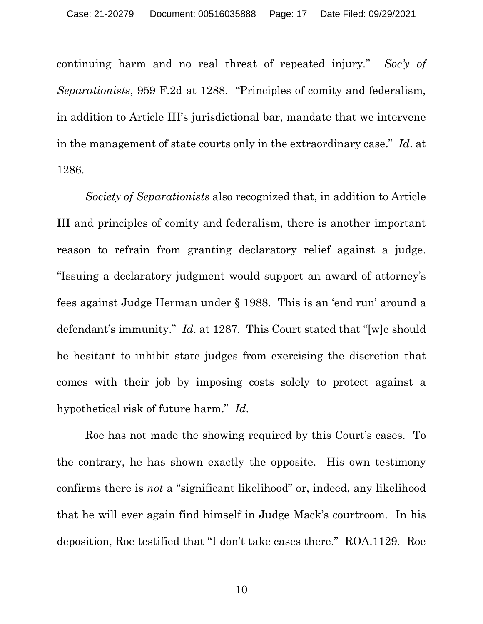continuing harm and no real threat of repeated injury*.*" *Soc'y of Separationists*, 959 F.2d at 1288. "Principles of comity and federalism, in addition to Article III's jurisdictional bar, mandate that we intervene in the management of state courts only in the extraordinary case." *Id*. at 1286.

*Society of Separationists* also recognized that, in addition to Article III and principles of comity and federalism, there is another important reason to refrain from granting declaratory relief against a judge. "Issuing a declaratory judgment would support an award of attorney's fees against Judge Herman under § 1988. This is an 'end run' around a defendant's immunity." *Id*. at 1287. This Court stated that "[w]e should be hesitant to inhibit state judges from exercising the discretion that comes with their job by imposing costs solely to protect against a hypothetical risk of future harm." *Id*.

Roe has not made the showing required by this Court's cases. To the contrary, he has shown exactly the opposite. His own testimony confirms there is *not* a "significant likelihood" or, indeed, any likelihood that he will ever again find himself in Judge Mack's courtroom. In his deposition, Roe testified that "I don't take cases there." ROA.1129. Roe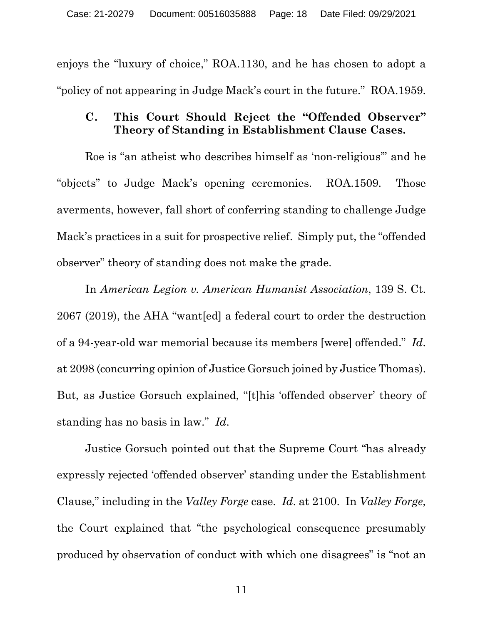enjoys the "luxury of choice," ROA.1130, and he has chosen to adopt a "policy of not appearing in Judge Mack's court in the future." ROA.1959.

### **C. This Court Should Reject the "Offended Observer" Theory of Standing in Establishment Clause Cases.**

Roe is "an atheist who describes himself as 'non-religious'" and he "objects" to Judge Mack's opening ceremonies. ROA.1509. Those averments, however, fall short of conferring standing to challenge Judge Mack's practices in a suit for prospective relief. Simply put, the "offended observer" theory of standing does not make the grade.

In *American Legion v. American Humanist Association*, 139 S. Ct. 2067 (2019), the AHA "want[ed] a federal court to order the destruction of a 94-year-old war memorial because its members [were] offended." *Id*. at 2098 (concurring opinion of Justice Gorsuch joined by Justice Thomas). But, as Justice Gorsuch explained, "[t]his 'offended observer' theory of standing has no basis in law." *Id*.

Justice Gorsuch pointed out that the Supreme Court "has already expressly rejected 'offended observer' standing under the Establishment Clause," including in the *Valley Forge* case. *Id*. at 2100. In *Valley Forge*, the Court explained that "the psychological consequence presumably produced by observation of conduct with which one disagrees" is "not an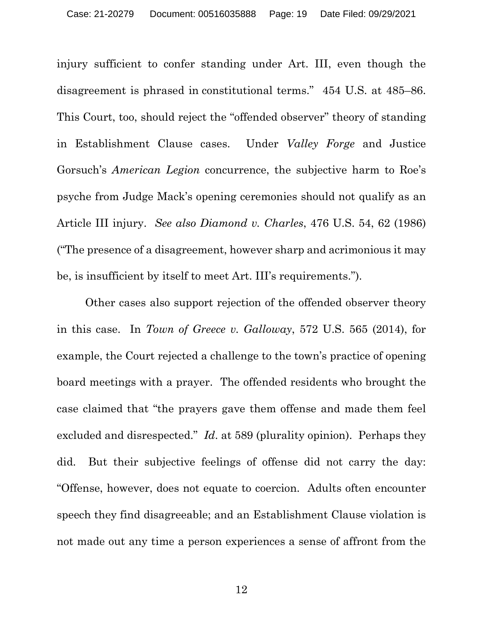injury sufficient to confer standing under Art. III, even though the disagreement is phrased in constitutional terms." 454 U.S. at 485–86. This Court, too, should reject the "offended observer" theory of standing in Establishment Clause cases. Under *Valley Forge* and Justice Gorsuch's *American Legion* concurrence, the subjective harm to Roe's psyche from Judge Mack's opening ceremonies should not qualify as an Article III injury. *See also Diamond v. Charles*, 476 U.S. 54, 62 (1986) ("The presence of a disagreement, however sharp and acrimonious it may be, is insufficient by itself to meet Art. III's requirements.").

Other cases also support rejection of the offended observer theory in this case. In *Town of Greece v. Galloway*, 572 U.S. 565 (2014), for example, the Court rejected a challenge to the town's practice of opening board meetings with a prayer. The offended residents who brought the case claimed that "the prayers gave them offense and made them feel excluded and disrespected." *Id*. at 589 (plurality opinion). Perhaps they did. But their subjective feelings of offense did not carry the day: "Offense, however, does not equate to coercion. Adults often encounter speech they find disagreeable; and an Establishment Clause violation is not made out any time a person experiences a sense of affront from the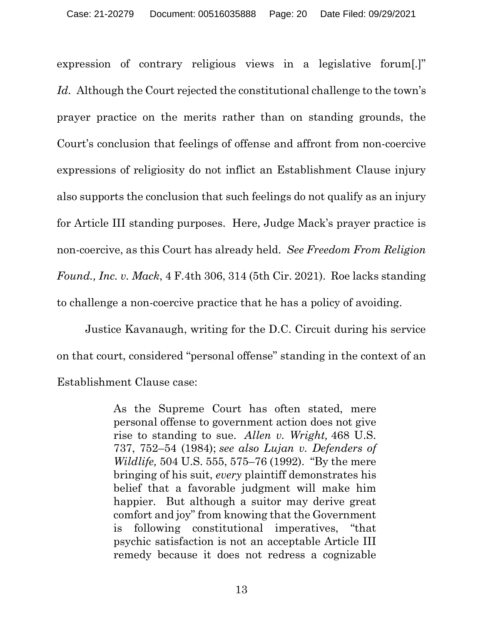expression of contrary religious views in a legislative forum[.]" *Id*. Although the Court rejected the constitutional challenge to the town's prayer practice on the merits rather than on standing grounds, the Court's conclusion that feelings of offense and affront from non-coercive expressions of religiosity do not inflict an Establishment Clause injury also supports the conclusion that such feelings do not qualify as an injury for Article III standing purposes. Here, Judge Mack's prayer practice is non-coercive, as this Court has already held. *See Freedom From Religion Found., Inc. v. Mack*, 4 F.4th 306, 314 (5th Cir. 2021). Roe lacks standing to challenge a non-coercive practice that he has a policy of avoiding.

Justice Kavanaugh, writing for the D.C. Circuit during his service on that court, considered "personal offense" standing in the context of an Establishment Clause case:

> As the Supreme Court has often stated, mere personal offense to government action does not give rise to standing to sue. *Allen v. Wright,* 468 U.S. 737, 752–54 (1984); *see also Lujan v. Defenders of Wildlife,* 504 U.S. 555, 575–76 (1992). "By the mere bringing of his suit, *every* plaintiff demonstrates his belief that a favorable judgment will make him happier. But although a suitor may derive great comfort and joy" from knowing that the Government is following constitutional imperatives, "that psychic satisfaction is not an acceptable Article III remedy because it does not redress a cognizable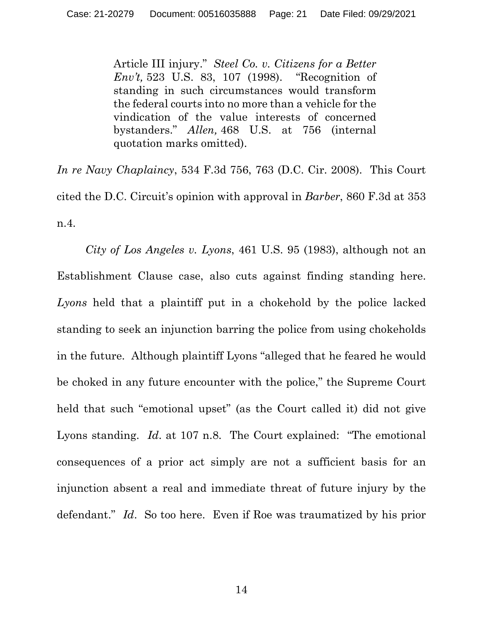Article III injury." *Steel Co. v. Citizens for a Better Env't,* 523 U.S. 83, 107 (1998). "Recognition of standing in such circumstances would transform the federal courts into no more than a vehicle for the vindication of the value interests of concerned bystanders." *Allen,* 468 U.S. at 756 (internal quotation marks omitted).

*In re Navy Chaplaincy*, 534 F.3d 756, 763 (D.C. Cir. 2008). This Court cited the D.C. Circuit's opinion with approval in *Barber*, 860 F.3d at 353 n.4.

*City of Los Angeles v. Lyons*, 461 U.S. 95 (1983), although not an Establishment Clause case, also cuts against finding standing here. *Lyons* held that a plaintiff put in a chokehold by the police lacked standing to seek an injunction barring the police from using chokeholds in the future. Although plaintiff Lyons "alleged that he feared he would be choked in any future encounter with the police," the Supreme Court held that such "emotional upset" (as the Court called it) did not give Lyons standing. *Id*. at 107 n.8. The Court explained: "The emotional consequences of a prior act simply are not a sufficient basis for an injunction absent a real and immediate threat of future injury by the defendant." *Id*. So too here. Even if Roe was traumatized by his prior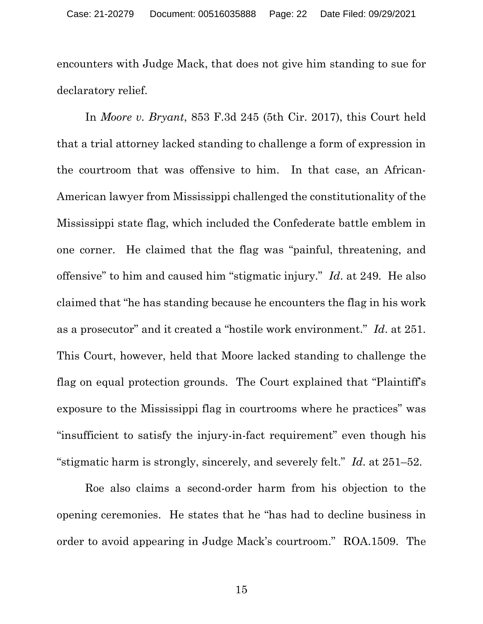encounters with Judge Mack, that does not give him standing to sue for declaratory relief.

In *Moore v. Bryant*, 853 F.3d 245 (5th Cir. 2017), this Court held that a trial attorney lacked standing to challenge a form of expression in the courtroom that was offensive to him. In that case, an African-American lawyer from Mississippi challenged the constitutionality of the Mississippi state flag, which included the Confederate battle emblem in one corner. He claimed that the flag was "painful, threatening, and offensive" to him and caused him "stigmatic injury." *Id*. at 249. He also claimed that "he has standing because he encounters the flag in his work as a prosecutor" and it created a "hostile work environment." *Id*. at 251. This Court, however, held that Moore lacked standing to challenge the flag on equal protection grounds. The Court explained that "Plaintiff's exposure to the Mississippi flag in courtrooms where he practices" was "insufficient to satisfy the injury-in-fact requirement" even though his "stigmatic harm is strongly, sincerely, and severely felt." *Id*. at 251–52.

Roe also claims a second-order harm from his objection to the opening ceremonies. He states that he "has had to decline business in order to avoid appearing in Judge Mack's courtroom." ROA.1509. The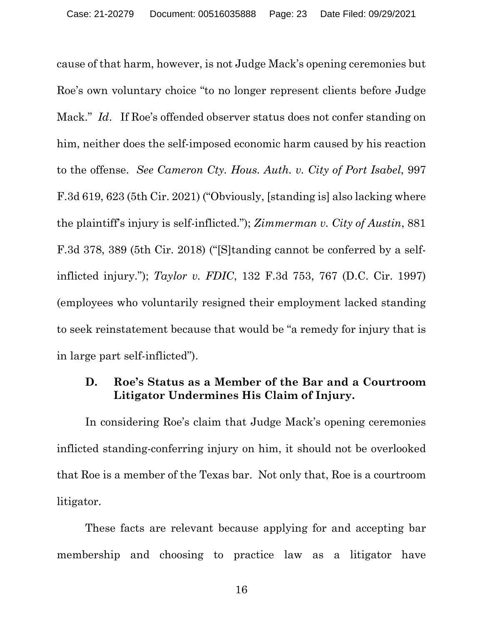cause of that harm, however, is not Judge Mack's opening ceremonies but Roe's own voluntary choice "to no longer represent clients before Judge Mack." *Id*. If Roe's offended observer status does not confer standing on him, neither does the self-imposed economic harm caused by his reaction to the offense. *See Cameron Cty. Hous. Auth. v. City of Port Isabel*, 997 F.3d 619, 623 (5th Cir. 2021) ("Obviously, [standing is] also lacking where the plaintiff's injury is self-inflicted."); *Zimmerman v. City of Austin*, 881 F.3d 378, 389 (5th Cir. 2018) ("[S]tanding cannot be conferred by a selfinflicted injury."); *Taylor v. FDIC*, 132 F.3d 753, 767 (D.C. Cir. 1997) (employees who voluntarily resigned their employment lacked standing to seek reinstatement because that would be "a remedy for injury that is in large part self-inflicted").

### **D. Roe's Status as a Member of the Bar and a Courtroom Litigator Undermines His Claim of Injury.**

In considering Roe's claim that Judge Mack's opening ceremonies inflicted standing-conferring injury on him, it should not be overlooked that Roe is a member of the Texas bar. Not only that, Roe is a courtroom litigator.

These facts are relevant because applying for and accepting bar membership and choosing to practice law as a litigator have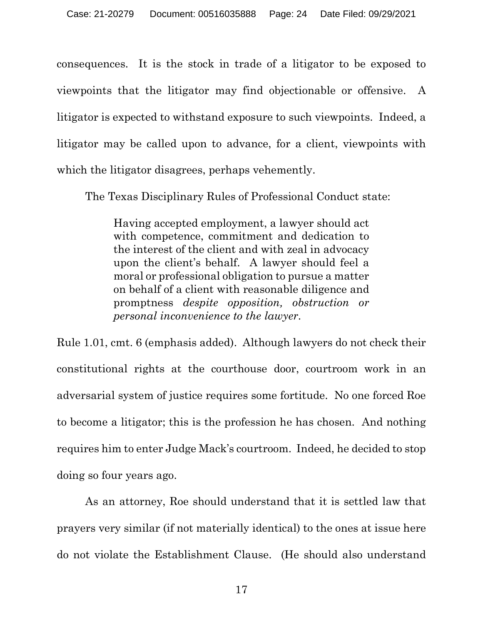consequences. It is the stock in trade of a litigator to be exposed to viewpoints that the litigator may find objectionable or offensive. A litigator is expected to withstand exposure to such viewpoints. Indeed, a litigator may be called upon to advance, for a client, viewpoints with which the litigator disagrees, perhaps vehemently.

The Texas Disciplinary Rules of Professional Conduct state:

Having accepted employment, a lawyer should act with competence, commitment and dedication to the interest of the client and with zeal in advocacy upon the client's behalf. A lawyer should feel a moral or professional obligation to pursue a matter on behalf of a client with reasonable diligence and promptness *despite opposition, obstruction or personal inconvenience to the lawyer*.

Rule 1.01, cmt. 6 (emphasis added). Although lawyers do not check their constitutional rights at the courthouse door, courtroom work in an adversarial system of justice requires some fortitude. No one forced Roe to become a litigator; this is the profession he has chosen. And nothing requires him to enter Judge Mack's courtroom. Indeed, he decided to stop doing so four years ago.

As an attorney, Roe should understand that it is settled law that prayers very similar (if not materially identical) to the ones at issue here do not violate the Establishment Clause. (He should also understand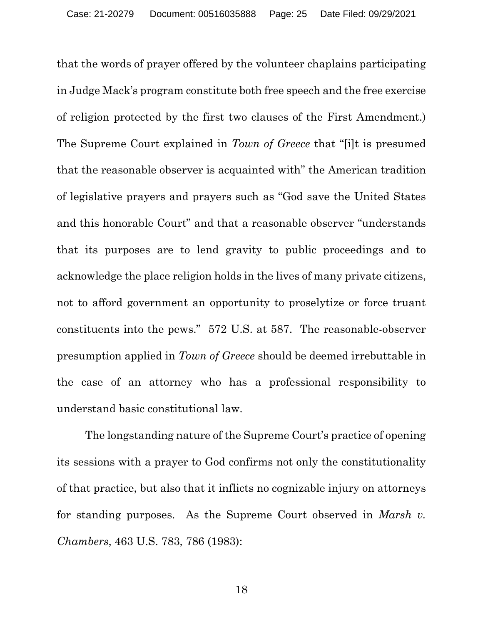that the words of prayer offered by the volunteer chaplains participating in Judge Mack's program constitute both free speech and the free exercise of religion protected by the first two clauses of the First Amendment.) The Supreme Court explained in *Town of Greece* that "[i]t is presumed that the reasonable observer is acquainted with" the American tradition of legislative prayers and prayers such as "God save the United States and this honorable Court" and that a reasonable observer "understands that its purposes are to lend gravity to public proceedings and to acknowledge the place religion holds in the lives of many private citizens, not to afford government an opportunity to proselytize or force truant constituents into the pews." 572 U.S. at 587. The reasonable-observer presumption applied in *Town of Greece* should be deemed irrebuttable in the case of an attorney who has a professional responsibility to understand basic constitutional law.

The longstanding nature of the Supreme Court's practice of opening its sessions with a prayer to God confirms not only the constitutionality of that practice, but also that it inflicts no cognizable injury on attorneys for standing purposes. As the Supreme Court observed in *Marsh v. Chambers*, 463 U.S. 783, 786 (1983):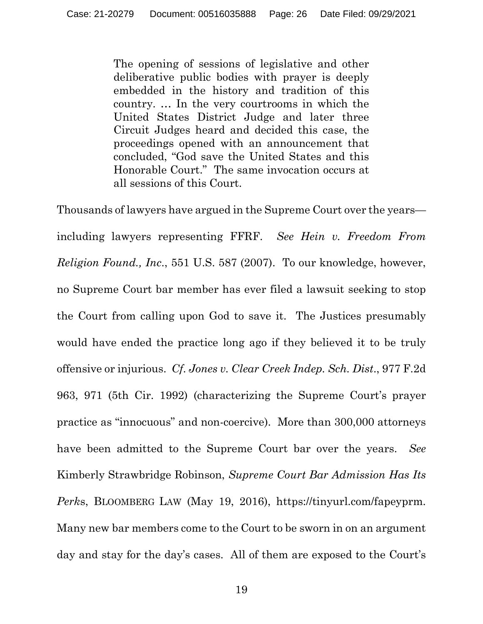The opening of sessions of legislative and other deliberative public bodies with prayer is deeply embedded in the history and tradition of this country. … In the very courtrooms in which the United States District Judge and later three Circuit Judges heard and decided this case, the proceedings opened with an announcement that concluded, "God save the United States and this Honorable Court." The same invocation occurs at all sessions of this Court.

Thousands of lawyers have argued in the Supreme Court over the years including lawyers representing FFRF. *See Hein v. Freedom From Religion Found., Inc*., 551 U.S. 587 (2007). To our knowledge, however, no Supreme Court bar member has ever filed a lawsuit seeking to stop the Court from calling upon God to save it. The Justices presumably would have ended the practice long ago if they believed it to be truly offensive or injurious. *Cf*. *Jones v. Clear Creek Indep. Sch. Dist*., 977 F.2d 963, 971 (5th Cir. 1992) (characterizing the Supreme Court's prayer practice as "innocuous" and non-coercive). More than 300,000 attorneys have been admitted to the Supreme Court bar over the years. *See* Kimberly Strawbridge Robinson, *Supreme Court Bar Admission Has Its Perk*s, BLOOMBERG LAW (May 19, 2016), https://tinyurl.com/fapeyprm. Many new bar members come to the Court to be sworn in on an argument day and stay for the day's cases. All of them are exposed to the Court's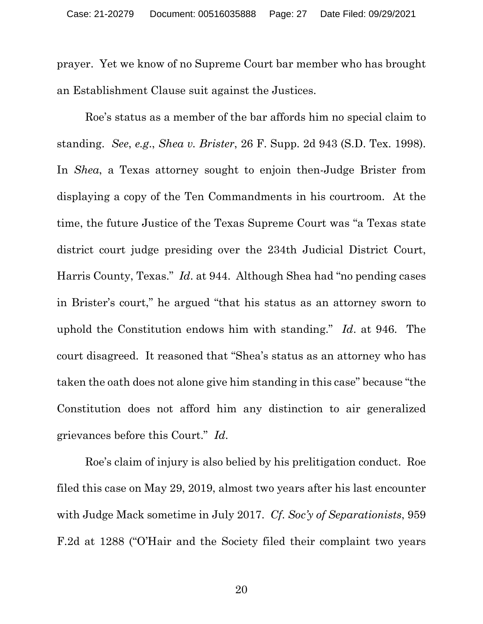prayer. Yet we know of no Supreme Court bar member who has brought an Establishment Clause suit against the Justices.

Roe's status as a member of the bar affords him no special claim to standing. *See*, *e.g*., *Shea v. Brister*, 26 F. Supp. 2d 943 (S.D. Tex. 1998). In *Shea*, a Texas attorney sought to enjoin then-Judge Brister from displaying a copy of the Ten Commandments in his courtroom. At the time, the future Justice of the Texas Supreme Court was "a Texas state district court judge presiding over the 234th Judicial District Court, Harris County, Texas." *Id*. at 944. Although Shea had "no pending cases in Brister's court," he argued "that his status as an attorney sworn to uphold the Constitution endows him with standing." *Id*. at 946. The court disagreed. It reasoned that "Shea's status as an attorney who has taken the oath does not alone give him standing in this case" because "the Constitution does not afford him any distinction to air generalized grievances before this Court." *Id*.

Roe's claim of injury is also belied by his prelitigation conduct. Roe filed this case on May 29, 2019, almost two years after his last encounter with Judge Mack sometime in July 2017. *Cf*. *Soc'y of Separationists*, 959 F.2d at 1288 ("O'Hair and the Society filed their complaint two years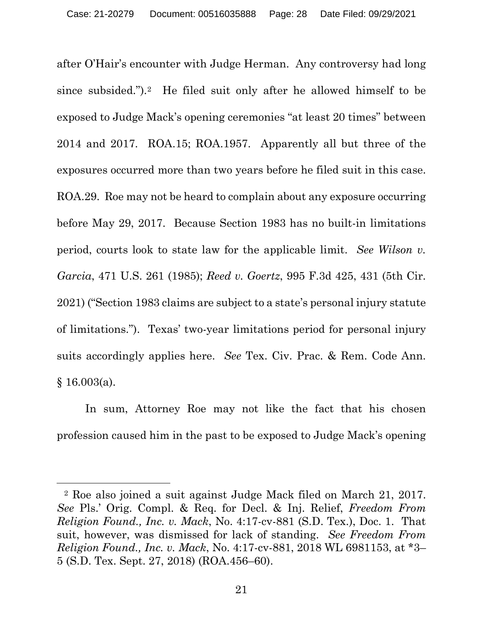after O'Hair's encounter with Judge Herman. Any controversy had long since subsided.").[2](#page-27-0) He filed suit only after he allowed himself to be exposed to Judge Mack's opening ceremonies "at least 20 times" between 2014 and 2017. ROA.15; ROA.1957. Apparently all but three of the exposures occurred more than two years before he filed suit in this case. ROA.29. Roe may not be heard to complain about any exposure occurring before May 29, 2017. Because Section 1983 has no built-in limitations period, courts look to state law for the applicable limit. *See Wilson v. Garcia*, 471 U.S. 261 (1985); *Reed v. Goertz*, 995 F.3d 425, 431 (5th Cir. 2021) ("Section 1983 claims are subject to a state's personal injury statute of limitations."). Texas' two-year limitations period for personal injury suits accordingly applies here. *See* Tex. Civ. Prac. & Rem. Code Ann. § 16.003(a).

In sum, Attorney Roe may not like the fact that his chosen profession caused him in the past to be exposed to Judge Mack's opening

<span id="page-27-0"></span><sup>2</sup> Roe also joined a suit against Judge Mack filed on March 21, 2017. *See* Pls.' Orig. Compl. & Req. for Decl. & Inj. Relief, *Freedom From Religion Found., Inc. v. Mack*, No. 4:17-cv-881 (S.D. Tex.), Doc. 1. That suit, however, was dismissed for lack of standing. *See Freedom From Religion Found., Inc. v. Mack*, No. 4:17-cv-881, 2018 WL 6981153, at \*3– 5 (S.D. Tex. Sept. 27, 2018) (ROA.456–60).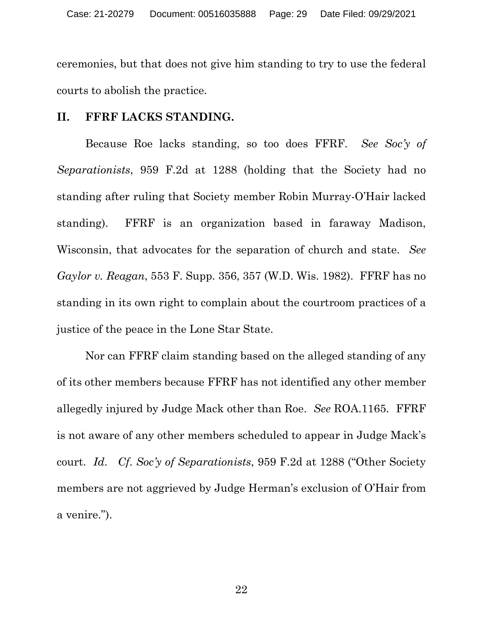ceremonies, but that does not give him standing to try to use the federal courts to abolish the practice.

#### **II. FFRF LACKS STANDING.**

Because Roe lacks standing, so too does FFRF. *See Soc'y of Separationists*, 959 F.2d at 1288 (holding that the Society had no standing after ruling that Society member Robin Murray-O'Hair lacked standing). FFRF is an organization based in faraway Madison, Wisconsin, that advocates for the separation of church and state. *See Gaylor v. Reagan*, 553 F. Supp. 356, 357 (W.D. Wis. 1982). FFRF has no standing in its own right to complain about the courtroom practices of a justice of the peace in the Lone Star State.

Nor can FFRF claim standing based on the alleged standing of any of its other members because FFRF has not identified any other member allegedly injured by Judge Mack other than Roe. *See* ROA.1165. FFRF is not aware of any other members scheduled to appear in Judge Mack's court. *Id*. *Cf*. *Soc'y of Separationists*, 959 F.2d at 1288 ("Other Society members are not aggrieved by Judge Herman's exclusion of O'Hair from a venire.").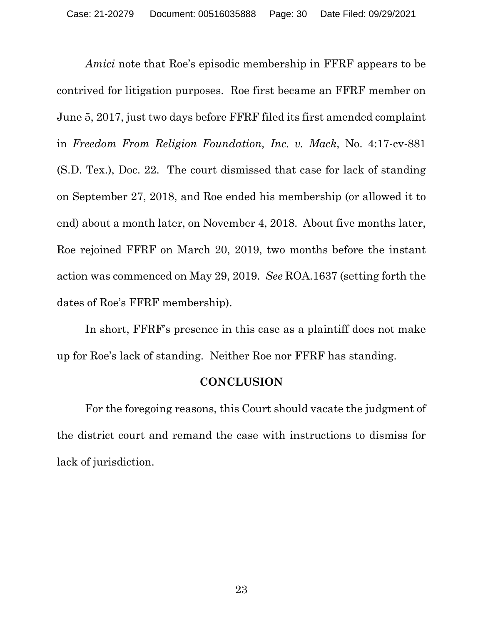*Amici* note that Roe's episodic membership in FFRF appears to be contrived for litigation purposes. Roe first became an FFRF member on June 5, 2017, just two days before FFRF filed its first amended complaint in *Freedom From Religion Foundation, Inc. v. Mack*, No. 4:17-cv-881 (S.D. Tex.), Doc. 22. The court dismissed that case for lack of standing on September 27, 2018, and Roe ended his membership (or allowed it to end) about a month later, on November 4, 2018. About five months later, Roe rejoined FFRF on March 20, 2019, two months before the instant action was commenced on May 29, 2019. *See* ROA.1637 (setting forth the dates of Roe's FFRF membership).

In short, FFRF's presence in this case as a plaintiff does not make up for Roe's lack of standing. Neither Roe nor FFRF has standing.

#### **CONCLUSION**

For the foregoing reasons, this Court should vacate the judgment of the district court and remand the case with instructions to dismiss for lack of jurisdiction.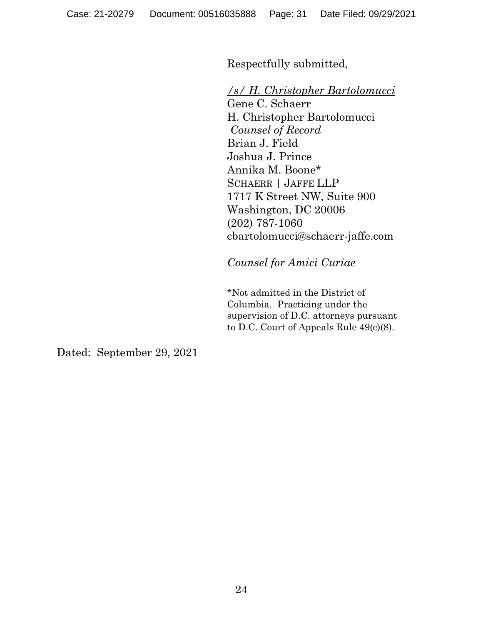Respectfully submitted,

*/s/ H. Christopher Bartolomucci*

Gene C. Schaerr H. Christopher Bartolomucci *Counsel of Record* Brian J. Field Joshua J. Prince Annika M. Boone\* SCHAERR | JAFFE LLP 1717 K Street NW, Suite 900 Washington, DC 20006 (202) 787-1060 cbartolomucci@schaerr-jaffe.com

*Counsel for Amici Curiae* 

\*Not admitted in the District of Columbia. Practicing under the supervision of D.C. attorneys pursuant to D.C. Court of Appeals Rule 49(c)(8).

Dated: September 29, 2021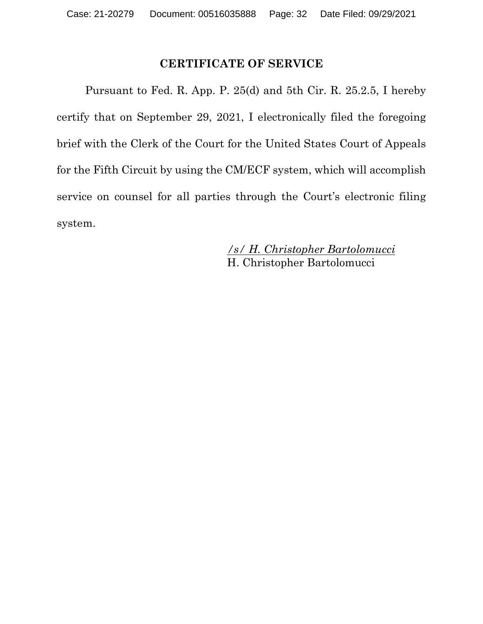### **CERTIFICATE OF SERVICE**

Pursuant to Fed. R. App. P. 25(d) and 5th Cir. R. 25.2.5, I hereby certify that on September 29, 2021, I electronically filed the foregoing brief with the Clerk of the Court for the United States Court of Appeals for the Fifth Circuit by using the CM/ECF system, which will accomplish service on counsel for all parties through the Court's electronic filing system.

> */s/ H. Christopher Bartolomucci* H. Christopher Bartolomucci